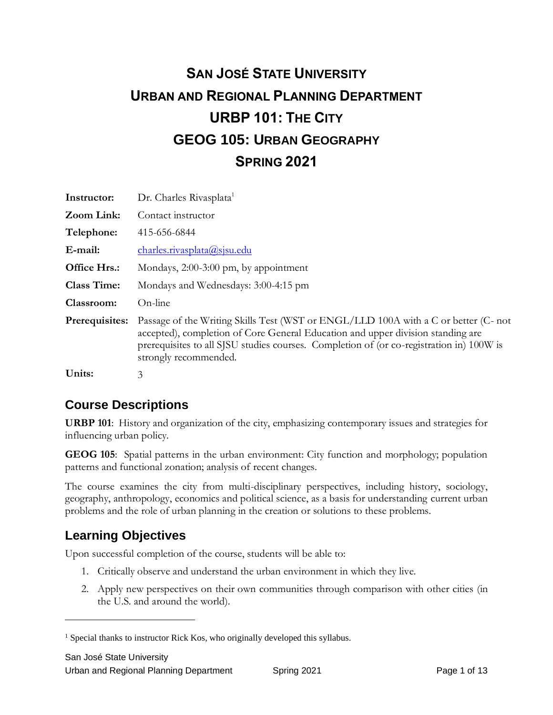# **SAN JOSÉ STATE UNIVERSITY URBAN AND REGIONAL PLANNING DEPARTMENT URBP 101: THE CITY GEOG 105: URBAN GEOGRAPHY SPRING 2021**

| Instructor:        | Dr. Charles Rivasplata <sup>1</sup>                                                                                                                                                                                                                                                         |
|--------------------|---------------------------------------------------------------------------------------------------------------------------------------------------------------------------------------------------------------------------------------------------------------------------------------------|
| Zoom Link:         | Contact instructor                                                                                                                                                                                                                                                                          |
| Telephone:         | 415-656-6844                                                                                                                                                                                                                                                                                |
| E-mail:            | charles.rivasplata@sjsu.edu                                                                                                                                                                                                                                                                 |
| Office Hrs.:       | Mondays, 2:00-3:00 pm, by appointment                                                                                                                                                                                                                                                       |
| <b>Class Time:</b> | Mondays and Wednesdays: 3:00-4:15 pm                                                                                                                                                                                                                                                        |
| Classroom:         | On-line                                                                                                                                                                                                                                                                                     |
| Prerequisites:     | Passage of the Writing Skills Test (WST or ENGL/LLD 100A with a C or better (C- not<br>accepted), completion of Core General Education and upper division standing are<br>prerequisites to all SJSU studies courses. Completion of (or co-registration in) 100W is<br>strongly recommended. |
| Units:             | 3                                                                                                                                                                                                                                                                                           |

## **Course Descriptions**

**URBP 101**: History and organization of the city, emphasizing contemporary issues and strategies for influencing urban policy.

**GEOG 105**: Spatial patterns in the urban environment: City function and morphology; population patterns and functional zonation; analysis of recent changes.

The course examines the city from multi-disciplinary perspectives, including history, sociology, geography, anthropology, economics and political science, as a basis for understanding current urban problems and the role of urban planning in the creation or solutions to these problems.

## **Learning Objectives**

Upon successful completion of the course, students will be able to:

- 1. Critically observe and understand the urban environment in which they live.
- 2. Apply new perspectives on their own communities through comparison with other cities (in the U.S. and around the world).

<sup>&</sup>lt;sup>1</sup> Special thanks to instructor Rick Kos, who originally developed this syllabus.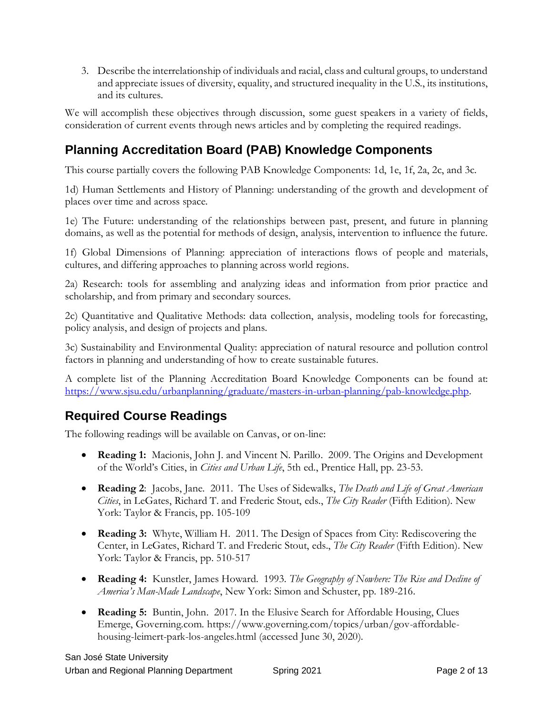3. Describe the interrelationship of individuals and racial, class and cultural groups, to understand and appreciate issues of diversity, equality, and structured inequality in the U.S., its institutions, and its cultures.

We will accomplish these objectives through discussion, some guest speakers in a variety of fields, consideration of current events through news articles and by completing the required readings.

## **Planning Accreditation Board (PAB) Knowledge Components**

This course partially covers the following PAB Knowledge Components: 1d, 1e, 1f, 2a, 2c, and 3c.

1d) Human Settlements and History of Planning: understanding of the growth and development of places over time and across space.

1e) The Future: understanding of the relationships between past, present, and future in planning domains, as well as the potential for methods of design, analysis, intervention to influence the future.

1f) Global Dimensions of Planning: appreciation of interactions flows of people and materials, cultures, and differing approaches to planning across world regions.

2a) Research: tools for assembling and analyzing ideas and information from prior practice and scholarship, and from primary and secondary sources.

2c) Quantitative and Qualitative Methods: data collection, analysis, modeling tools for forecasting, policy analysis, and design of projects and plans.

3c) Sustainability and Environmental Quality: appreciation of natural resource and pollution control factors in planning and understanding of how to create sustainable futures.

A complete list of the Planning Accreditation Board Knowledge Components can be found at: [https://www.sjsu.edu/urbanplanning/graduate/masters-in-urban-planning/pab-knowledge.php.](https://www.sjsu.edu/urbanplanning/graduate/masters-in-urban-planning/pab-knowledge.php)

## **Required Course Readings**

The following readings will be available on Canvas, or on-line:

- **Reading 1:** Macionis, John J. and Vincent N. Parillo. 2009. The Origins and Development of the World's Cities, in *Cities and Urban Life*, 5th ed., Prentice Hall, pp. 23-53.
- **Reading 2**: Jacobs, Jane. 2011. The Uses of Sidewalks, *The Death and Life of Great American Cities*, in LeGates, Richard T. and Frederic Stout, eds., *The City Reader* (Fifth Edition). New York: Taylor & Francis, pp. 105-109
- **Reading 3:** Whyte, William H. 2011. The Design of Spaces from City: Rediscovering the Center, in LeGates, Richard T. and Frederic Stout, eds., *The City Reader* (Fifth Edition). New York: Taylor & Francis, pp. 510-517
- **Reading 4:** Kunstler, James Howard. 1993. *The Geography of Nowhere: The Rise and Decline of America's Man-Made Landscape*, New York: Simon and Schuster, pp. 189-216.
- **Reading 5:** Buntin, John. 2017. In the Elusive Search for Affordable Housing, Clues Emerge, Governing.com. https://www.governing.com/topics/urban/gov-affordablehousing-leimert-park-los-angeles.html (accessed June 30, 2020).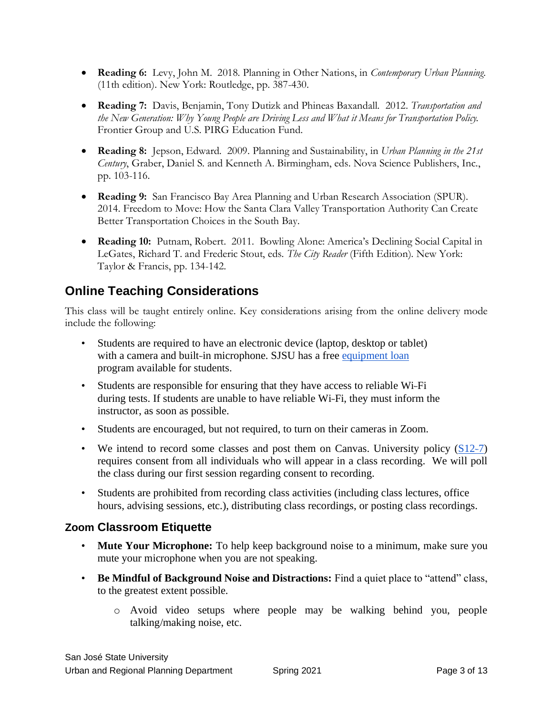- **Reading 6:** Levy, John M. 2018. Planning in Other Nations, in *Contemporary Urban Planning*. (11th edition). New York: Routledge, pp. 387-430.
- **Reading 7:** Davis, Benjamin, Tony Dutizk and Phineas Baxandall. 2012. *Transportation and the New Generation: Why Young People are Driving Less and What it Means for Transportation Policy.*  Frontier Group and U.S. PIRG Education Fund.
- **Reading 8:** Jepson, Edward. 2009. Planning and Sustainability, in *Urban Planning in the 21st Century*, Graber, Daniel S. and Kenneth A. Birmingham, eds. Nova Science Publishers, Inc., pp. 103-116.
- **Reading 9:** San Francisco Bay Area Planning and Urban Research Association (SPUR). 2014. Freedom to Move: How the Santa Clara Valley Transportation Authority Can Create Better Transportation Choices in the South Bay.
- **Reading 10:** Putnam, Robert. 2011. Bowling Alone: America's Declining Social Capital in LeGates, Richard T. and Frederic Stout, eds. *The City Reader* (Fifth Edition). New York: Taylor & Francis, pp. 134-142.

### **Online Teaching Considerations**

This class will be taught entirely online. Key considerations arising from the online delivery mode include the following:

- Students are required to have an electronic device (laptop, desktop or tablet) with a camera and built-in microphone. SJSU has a free [equipment loan](https://www.sjsu.edu/learnanywhere/equipment/index.php) program available for students.
- Students are responsible for ensuring that they have access to reliable Wi-Fi during tests. If students are unable to have reliable Wi-‐Fi, they must inform the instructor, as soon as possible.
- Students are encouraged, but not required, to turn on their cameras in Zoom.
- We intend to record some classes and post them on Canvas. University policy  $(S12-7)$ requires consent from all individuals who will appear in a class recording. We will poll the class during our first session regarding consent to recording.
- Students are prohibited from recording class activities (including class lectures, office hours, advising sessions, etc.), distributing class recordings, or posting class recordings.

#### **Zoom Classroom Etiquette**

- **Mute Your Microphone:** To help keep background noise to a minimum, make sure you mute your microphone when you are not speaking.
- **Be Mindful of Background Noise and Distractions:** Find a quiet place to "attend" class, to the greatest extent possible.
	- o Avoid video setups where people may be walking behind you, people talking/making noise, etc.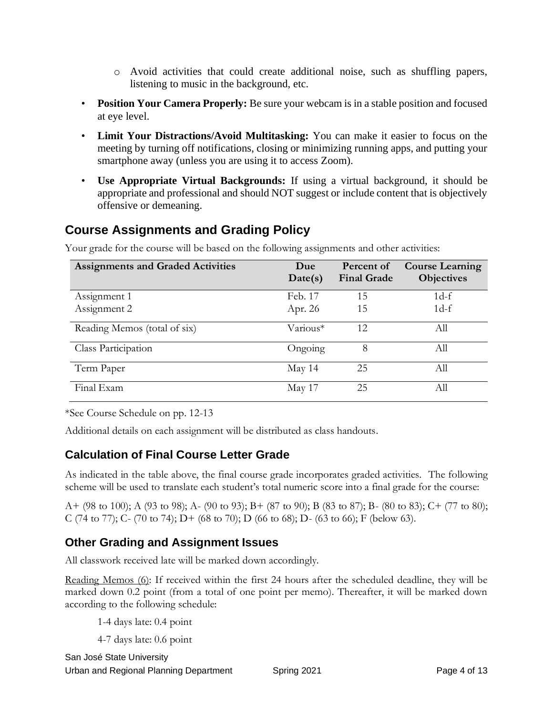- o Avoid activities that could create additional noise, such as shuffling papers, listening to music in the background, etc.
- **Position Your Camera Properly:** Be sure your webcam is in a stable position and focused at eye level.
- **Limit Your Distractions/Avoid Multitasking:** You can make it easier to focus on the meeting by turning off notifications, closing or minimizing running apps, and putting your smartphone away (unless you are using it to access Zoom).
- **Use Appropriate Virtual Backgrounds:** If using a virtual background, it should be appropriate and professional and should NOT suggest or include content that is objectively offensive or demeaning.

## **Course Assignments and Grading Policy**

| <b>Assignments and Graded Activities</b> | Due<br>Date(s) | Percent of<br><b>Final Grade</b> | <b>Course Learning</b><br>Objectives |
|------------------------------------------|----------------|----------------------------------|--------------------------------------|
| Assignment 1                             | Feb. 17        | 15                               | $1d-f$                               |
| Assignment 2                             | Apr. 26        | 15                               | $1d-f$                               |
| Reading Memos (total of six)             | Various*       | 12                               | All                                  |
| Class Participation                      | Ongoing        | 8                                | All                                  |
| Term Paper                               | May 14         | 25                               | All                                  |
| Final Exam                               | May 17         | 25                               | Аll                                  |

Your grade for the course will be based on the following assignments and other activities:

\*See Course Schedule on pp. 12-13

Additional details on each assignment will be distributed as class handouts.

#### **Calculation of Final Course Letter Grade**

As indicated in the table above, the final course grade incorporates graded activities. The following scheme will be used to translate each student's total numeric score into a final grade for the course:

A+ (98 to 100); A (93 to 98); A- (90 to 93); B+ (87 to 90); B (83 to 87); B- (80 to 83); C+ (77 to 80); C (74 to 77); C- (70 to 74); D+ (68 to 70); D (66 to 68); D- (63 to 66); F (below 63).

#### **Other Grading and Assignment Issues**

All classwork received late will be marked down accordingly.

Reading Memos (6): If received within the first 24 hours after the scheduled deadline, they will be marked down 0.2 point (from a total of one point per memo). Thereafter, it will be marked down according to the following schedule:

1-4 days late: 0.4 point

4-7 days late: 0.6 point

San José State University Urban and Regional Planning Department Spring 2021 Spring 2021 Page 4 of 13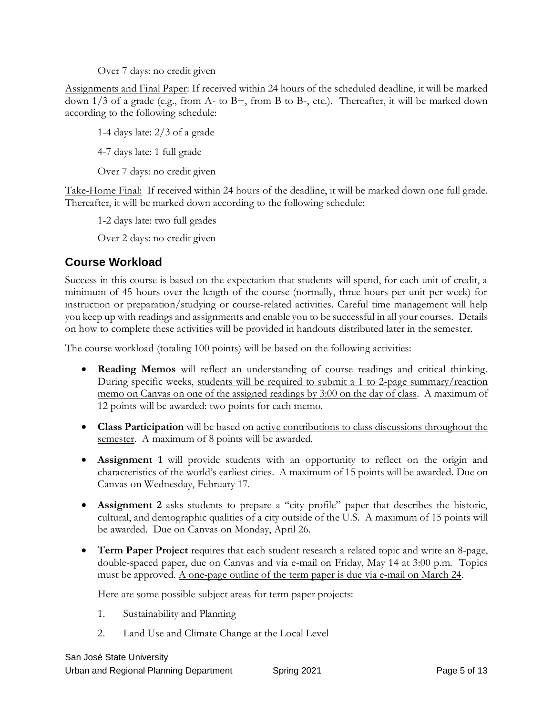Over 7 days: no credit given

Assignments and Final Paper: If received within 24 hours of the scheduled deadline, it will be marked down 1/3 of a grade (e.g., from A- to B+, from B to B-, etc.). Thereafter, it will be marked down according to the following schedule:

1-4 days late: 2/3 of a grade

4-7 days late: 1 full grade

Over 7 days: no credit given

Take-Home Final: If received within 24 hours of the deadline, it will be marked down one full grade. Thereafter, it will be marked down according to the following schedule:

1-2 days late: two full grades

Over 2 days: no credit given

#### **Course Workload**

Success in this course is based on the expectation that students will spend, for each unit of credit, a minimum of 45 hours over the length of the course (normally, three hours per unit per week) for instruction or preparation/studying or course-related activities. Careful time management will help you keep up with readings and assignments and enable you to be successful in all your courses. Details on how to complete these activities will be provided in handouts distributed later in the semester.

The course workload (totaling 100 points) will be based on the following activities:

- **Reading Memos** will reflect an understanding of course readings and critical thinking. During specific weeks, students will be required to submit a 1 to 2-page summary/reaction memo on Canvas on one of the assigned readings by 3:00 on the day of class. A maximum of 12 points will be awarded: two points for each memo.
- **Class Participation** will be based on active contributions to class discussions throughout the semester. A maximum of 8 points will be awarded.
- **Assignment 1** will provide students with an opportunity to reflect on the origin and characteristics of the world's earliest cities. A maximum of 15 points will be awarded. Due on Canvas on Wednesday, February 17.
- **Assignment 2** asks students to prepare a "city profile" paper that describes the historic, cultural, and demographic qualities of a city outside of the U.S. A maximum of 15 points will be awarded. Due on Canvas on Monday, April 26.
- **Term Paper Project** requires that each student research a related topic and write an 8-page, double-spaced paper, due on Canvas and via e-mail on Friday, May 14 at 3:00 p.m. Topics must be approved. A one-page outline of the term paper is due via e-mail on March 24.

Here are some possible subject areas for term paper projects:

- 1. Sustainability and Planning
- 2. Land Use and Climate Change at the Local Level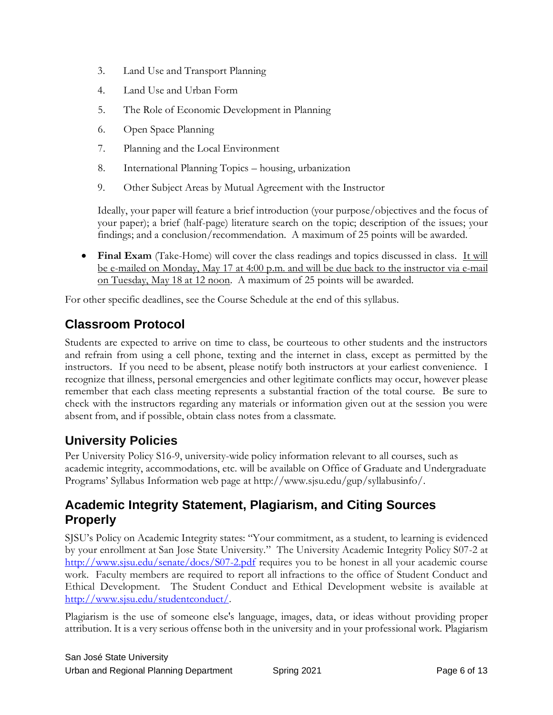- 3. Land Use and Transport Planning
- 4. Land Use and Urban Form
- 5. The Role of Economic Development in Planning
- 6. Open Space Planning
- 7. Planning and the Local Environment
- 8. International Planning Topics housing, urbanization
- 9. Other Subject Areas by Mutual Agreement with the Instructor

Ideally, your paper will feature a brief introduction (your purpose/objectives and the focus of your paper); a brief (half-page) literature search on the topic; description of the issues; your findings; and a conclusion/recommendation. A maximum of 25 points will be awarded.

• **Final Exam** (Take-Home) will cover the class readings and topics discussed in class. It will be e-mailed on Monday, May 17 at 4:00 p.m. and will be due back to the instructor via e-mail on Tuesday, May 18 at 12 noon. A maximum of 25 points will be awarded.

For other specific deadlines, see the Course Schedule at the end of this syllabus.

## **Classroom Protocol**

Students are expected to arrive on time to class, be courteous to other students and the instructors and refrain from using a cell phone, texting and the internet in class, except as permitted by the instructors. If you need to be absent, please notify both instructors at your earliest convenience. I recognize that illness, personal emergencies and other legitimate conflicts may occur, however please remember that each class meeting represents a substantial fraction of the total course. Be sure to check with the instructors regarding any materials or information given out at the session you were absent from, and if possible, obtain class notes from a classmate.

## **University Policies**

Per University Policy S16-9, university-wide policy information relevant to all courses, such as academic integrity, accommodations, etc. will be available on Office of Graduate and Undergraduate Programs' Syllabus Information web page at http://www.sjsu.edu/gup/syllabusinfo/.

### **Academic Integrity Statement, Plagiarism, and Citing Sources Properly**

SJSU's Policy on Academic Integrity states: "Your commitment, as a student, to learning is evidenced by your enrollment at San Jose State University." The [University Academic Integrity Policy S07-2](http://www.sjsu.edu/senate/docs/S07-2.pdf) at <http://www.sjsu.edu/senate/docs/S07-2.pdf> requires you to be honest in all your academic course work. Faculty members are required to report all infractions to the office of Student Conduct and Ethical Development. The [Student Conduct and Ethical Development website](http://www.sjsu.edu/studentconduct/) is available at [http://www.sjsu.edu/studentconduct/.](http://www.sjsu.edu/studentconduct/)

Plagiarism is the use of someone else's language, images, data, or ideas without providing proper attribution. It is a very serious offense both in the university and in your professional work. Plagiarism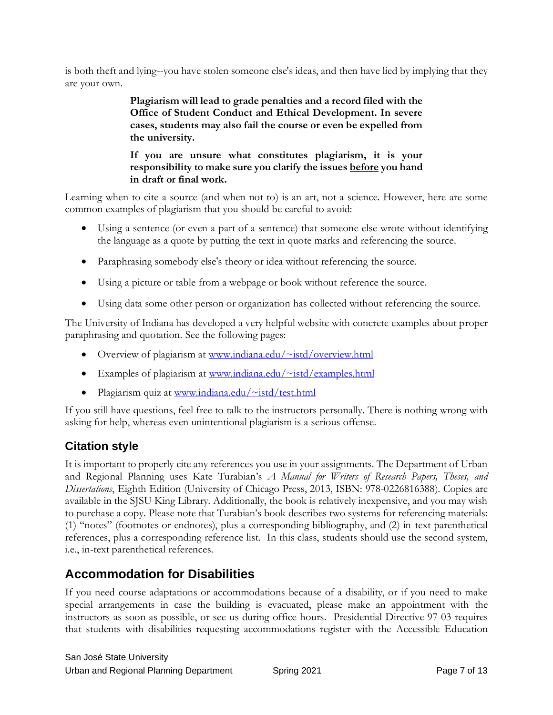is both theft and lying--you have stolen someone else's ideas, and then have lied by implying that they are your own.

> **Plagiarism will lead to grade penalties and a record filed with the Office of Student Conduct and Ethical Development. In severe cases, students may also fail the course or even be expelled from the university.**

> **If you are unsure what constitutes plagiarism, it is your responsibility to make sure you clarify the issues before you hand in draft or final work.**

Learning when to cite a source (and when not to) is an art, not a science. However, here are some common examples of plagiarism that you should be careful to avoid:

- Using a sentence (or even a part of a sentence) that someone else wrote without identifying the language as a quote by putting the text in quote marks and referencing the source.
- Paraphrasing somebody else's theory or idea without referencing the source.
- Using a picture or table from a webpage or book without reference the source.
- Using data some other person or organization has collected without referencing the source.

The University of Indiana has developed a very helpful website with concrete examples about proper paraphrasing and quotation. See the following pages:

- Overview of plagiarism at [www.indiana.edu/~istd/overview.html](http://www.indiana.edu/~istd/overview.html)
- Examples of plagiarism at [www.indiana.edu/~istd/examples.html](http://www.indiana.edu/~istd/examples.html)
- Plagiarism quiz at www.indiana.edu/ $\sim$ istd/test.html

If you still have questions, feel free to talk to the instructors personally. There is nothing wrong with asking for help, whereas even unintentional plagiarism is a serious offense.

#### **Citation style**

It is important to properly cite any references you use in your assignments. The Department of Urban and Regional Planning uses Kate Turabian's *A Manual for Writers of Research Papers, Theses, and Dissertations*, Eighth Edition (University of Chicago Press, 2013, ISBN: 978-0226816388). Copies are available in the SJSU King Library. Additionally, the book is relatively inexpensive, and you may wish to purchase a copy. Please note that Turabian's book describes two systems for referencing materials: (1) "notes" (footnotes or endnotes), plus a corresponding bibliography, and (2) in-text parenthetical references, plus a corresponding reference list. In this class, students should use the second system, i.e., in-text parenthetical references.

## **Accommodation for Disabilities**

If you need course adaptations or accommodations because of a disability, or if you need to make special arrangements in case the building is evacuated, please make an appointment with the instructors as soon as possible, or see us during office hours. Presidential Directive 97-03 requires that students with disabilities requesting accommodations register with the Accessible Education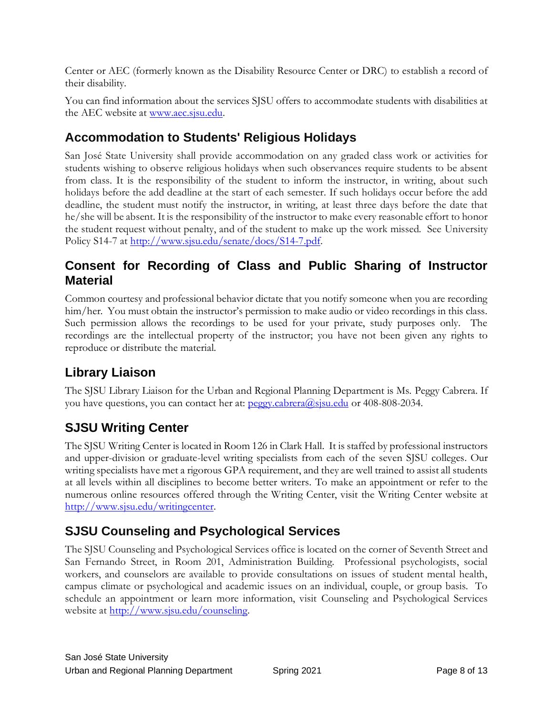Center or AEC (formerly known as the Disability Resource Center or DRC) to establish a record of their disability.

You can find information about the services SJSU offers to accommodate students with disabilities at the AEC website at [www.aec.sjsu.edu.](http://www.aec.sjsu.edu/)

## **Accommodation to Students' Religious Holidays**

San José State University shall provide accommodation on any graded class work or activities for students wishing to observe religious holidays when such observances require students to be absent from class. It is the responsibility of the student to inform the instructor, in writing, about such holidays before the add deadline at the start of each semester. If such holidays occur before the add deadline, the student must notify the instructor, in writing, at least three days before the date that he/she will be absent. It is the responsibility of the instructor to make every reasonable effort to honor the student request without penalty, and of the student to make up the work missed. See [University](http://www.sjsu.edu/senate/docs/S14-7.pdf)  [Policy S14-7](http://www.sjsu.edu/senate/docs/S14-7.pdf) at [http://www.sjsu.edu/senate/docs/S14-7.pdf.](http://www.sjsu.edu/senate/docs/S14-7.pdf)

#### **Consent for Recording of Class and Public Sharing of Instructor Material**

Common courtesy and professional behavior dictate that you notify someone when you are recording him/her. You must obtain the instructor's permission to make audio or video recordings in this class. Such permission allows the recordings to be used for your private, study purposes only. The recordings are the intellectual property of the instructor; you have not been given any rights to reproduce or distribute the material.

## **Library Liaison**

The SJSU Library Liaison for the Urban and Regional Planning Department is Ms. Peggy Cabrera. If you have questions, you can contact her at: peggy.cabrera@sisu.edu or 408-808-2034.

## **SJSU Writing Center**

The SJSU Writing Center is located in Room 126 in Clark Hall. It is staffed by professional instructors and upper-division or graduate-level writing specialists from each of the seven SJSU colleges. Our writing specialists have met a rigorous GPA requirement, and they are well trained to assist all students at all levels within all disciplines to become better writers. To make an appointment or refer to the numerous online resources offered through the Writing Center, visit the Writing Center website at [http://www.sjsu.edu/writingcenter.](http://www.sjsu.edu/writingcenter)

## **SJSU Counseling and Psychological Services**

The SJSU Counseling and Psychological Services office is located on the corner of Seventh Street and San Fernando Street, in Room 201, Administration Building. Professional psychologists, social workers, and counselors are available to provide consultations on issues of student mental health, campus climate or psychological and academic issues on an individual, couple, or group basis. To schedule an appointment or learn more information, visit [Counseling and Psychological Services](http://www.sjsu.edu/counseling)  [website](http://www.sjsu.edu/counseling) at <u>http://www.sjsu.edu/counseling</u>.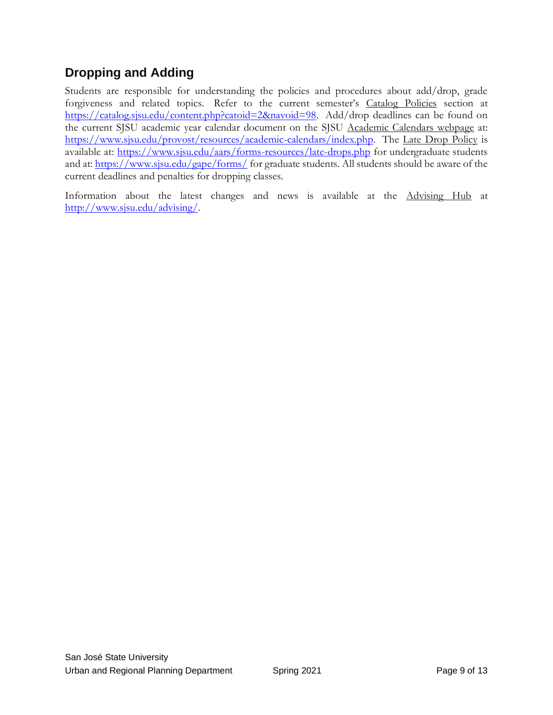## **Dropping and Adding**

Students are responsible for understanding the policies and procedures about add/drop, grade forgiveness and related topics. Refer to the current semester's [Catalog Policies](http://info.sjsu.edu/static/catalog/policies.html) section at [https://catalog.sjsu.edu/content.php?catoid=2&navoid=98.](https://catalog.sjsu.edu/content.php?catoid=2&navoid=98) Add/drop deadlines can be found on the current SJSU academic year calendar document on the SJSU [Academic Calendars webpage](http://www.sjsu.edu/provost/services/academic_calendars/) at: [https://www.sjsu.edu/provost/resources/academic-calendars/index.php.](https://www.sjsu.edu/provost/resources/academic-calendars/index.php) The [Late Drop Policy](http://www.sjsu.edu/aars/policies/latedrops/policy/) is available at:<https://www.sjsu.edu/aars/forms-resources/late-drops.php> for undergraduate students and at:<https://www.sjsu.edu/gape/forms/> for graduate students. All students should be aware of the current deadlines and penalties for dropping classes.

Information about the latest changes and news is available at the [Advising Hub](http://www.sjsu.edu/advising/) at [http://www.sjsu.edu/advising/.](http://www.sjsu.edu/advising/)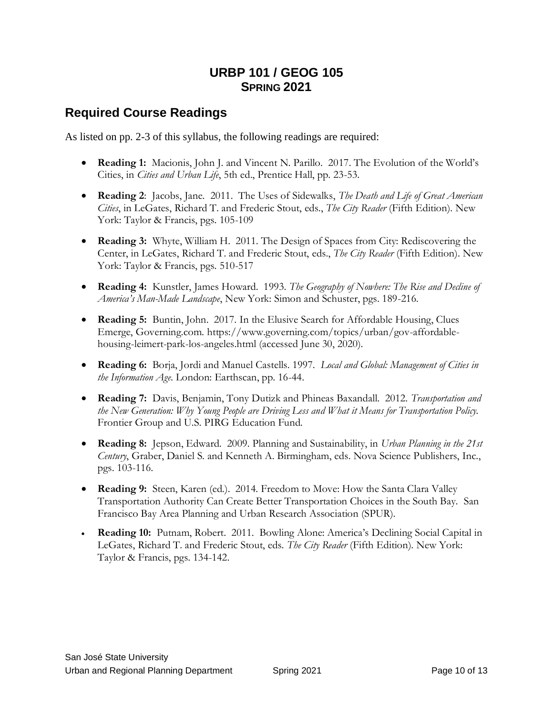#### **URBP 101 / GEOG 105 SPRING 2021**

#### **Required Course Readings**

As listed on pp. 2-3 of this syllabus, the following readings are required:

- **Reading 1:** Macionis, John J. and Vincent N. Parillo. 2017. The Evolution of the World's Cities, in *Cities and Urban Life*, 5th ed., Prentice Hall, pp. 23-53.
- **Reading 2**: Jacobs, Jane. 2011. The Uses of Sidewalks, *The Death and Life of Great American Cities*, in LeGates, Richard T. and Frederic Stout, eds., *The City Reader* (Fifth Edition). New York: Taylor & Francis, pgs. 105-109
- **Reading 3:** Whyte, William H. 2011. The Design of Spaces from City: Rediscovering the Center, in LeGates, Richard T. and Frederic Stout, eds., *The City Reader* (Fifth Edition). New York: Taylor & Francis, pgs. 510-517
- **Reading 4:** Kunstler, James Howard. 1993. *The Geography of Nowhere: The Rise and Decline of America's Man-Made Landscape*, New York: Simon and Schuster, pgs. 189-216.
- **Reading 5:** Buntin, John. 2017. In the Elusive Search for Affordable Housing, Clues Emerge, Governing.com. https://www.governing.com/topics/urban/gov-affordablehousing-leimert-park-los-angeles.html (accessed June 30, 2020).
- **Reading 6:** Borja, Jordi and Manuel Castells. 1997. *Local and Global: Management of Cities in the Information Age*. London: Earthscan, pp. 16-44.
- **Reading 7:** Davis, Benjamin, Tony Dutizk and Phineas Baxandall. 2012. *Transportation and the New Generation: Why Young People are Driving Less and What it Means for Transportation Policy.*  Frontier Group and U.S. PIRG Education Fund.
- **Reading 8:** Jepson, Edward. 2009. Planning and Sustainability, in *Urban Planning in the 21st Century*, Graber, Daniel S. and Kenneth A. Birmingham, eds. Nova Science Publishers, Inc., pgs. 103-116.
- **Reading 9:** Steen, Karen (ed.). 2014. Freedom to Move: How the Santa Clara Valley Transportation Authority Can Create Better Transportation Choices in the South Bay. San Francisco Bay Area Planning and Urban Research Association (SPUR).
- **Reading 10:** Putnam, Robert. 2011. Bowling Alone: America's Declining Social Capital in LeGates, Richard T. and Frederic Stout, eds. *The City Reader* (Fifth Edition). New York: Taylor & Francis, pgs. 134-142.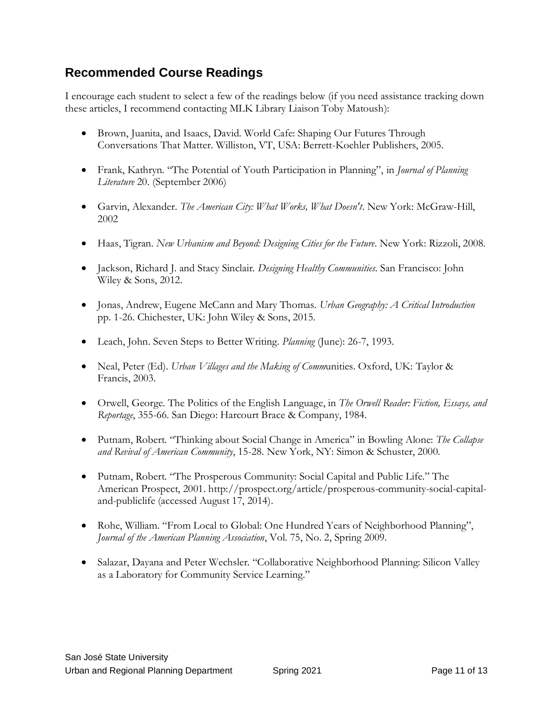### **Recommended Course Readings**

I encourage each student to select a few of the readings below (if you need assistance tracking down these articles, I recommend contacting MLK Library Liaison Toby Matoush):

- Brown, Juanita, and Isaacs, David. World Cafe: Shaping Our Futures Through Conversations That Matter. Williston, VT, USA: Berrett-Koehler Publishers, 2005.
- Frank, Kathryn. "The Potential of Youth Participation in Planning", in *Journal of Planning Literature* 20. (September 2006)
- Garvin, Alexander. *The American City: What Works, What Doesn't*. New York: McGraw-Hill, 2002
- Haas, Tigran. *New Urbanism and Beyond: Designing Cities for the Future*. New York: Rizzoli, 2008.
- Jackson, Richard J. and Stacy Sinclair. *Designing Healthy Communities*. San Francisco: John Wiley & Sons, 2012.
- Jonas, Andrew, Eugene McCann and Mary Thomas. *Urban Geography: A Critical Introduction* pp. 1-26. Chichester, UK: John Wiley & Sons, 2015.
- Leach, John. Seven Steps to Better Writing. *Planning* (June): 26-7, 1993.
- Neal, Peter (Ed). *Urban Villages and the Making of Comm*unities. Oxford, UK: Taylor & Francis, 2003.
- Orwell, George. The Politics of the English Language, in *The Orwell Reader: Fiction, Essays, and Reportage*, 355-66. San Diego: Harcourt Brace & Company, 1984.
- Putnam, Robert. "Thinking about Social Change in America" in Bowling Alone: *The Collapse and Revival of American Community*, 15-28. New York, NY: Simon & Schuster, 2000.
- Putnam, Robert. "The Prosperous Community: Social Capital and Public Life." The American Prospect, 2001. http://prospect.org/article/prosperous-community-social-capitaland-publiclife (accessed August 17, 2014).
- Rohe, William. "From Local to Global: One Hundred Years of Neighborhood Planning", *Journal of the American Planning Association*, Vol. 75, No. 2, Spring 2009.
- Salazar, Dayana and Peter Wechsler. "Collaborative Neighborhood Planning: Silicon Valley as a Laboratory for Community Service Learning."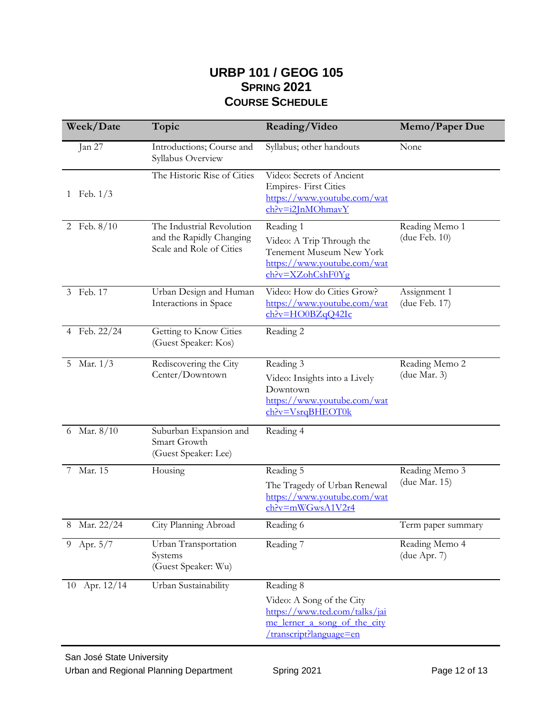#### **URBP 101 / GEOG 105 SPRING 2021 COURSE SCHEDULE**

| Week/Date                  | Topic                                                                             | Reading/Video                                                                                                                      | Memo/Paper Due                  |
|----------------------------|-----------------------------------------------------------------------------------|------------------------------------------------------------------------------------------------------------------------------------|---------------------------------|
| Jan 27                     | Introductions; Course and<br>Syllabus Overview                                    | Syllabus; other handouts                                                                                                           | None                            |
| Feb. $1/3$<br>$\mathbf{1}$ | The Historic Rise of Cities                                                       | Video: Secrets of Ancient<br><b>Empires-First Cities</b><br>https://www.youtube.com/wat<br>ch?v=i2JnMOhmavY                        |                                 |
| 2 Feb. 8/10                | The Industrial Revolution<br>and the Rapidly Changing<br>Scale and Role of Cities | Reading 1<br>Video: A Trip Through the<br><b>Tenement Museum New York</b><br>https://www.youtube.com/wat<br>$ch?v=XZohCshF0Yg$     | Reading Memo 1<br>(due Feb. 10) |
| Feb. 17<br>3               | Urban Design and Human<br>Interactions in Space                                   | Video: How do Cities Grow?<br>https://www.youtube.com/wat<br>ch?v=HO0BZqQ42Ic                                                      | Assignment 1<br>(due Feb. 17)   |
| 4 Feb. 22/24               | Getting to Know Cities<br>(Guest Speaker: Kos)                                    | Reading 2                                                                                                                          |                                 |
| 5 Mar. 1/3                 | Rediscovering the City<br>Center/Downtown                                         | Reading 3<br>Video: Insights into a Lively<br>Downtown<br>https://www.youtube.com/wat<br>ch?v=VsrqBHEOT0k                          | Reading Memo 2<br>(due Mar. 3)  |
| Mar. 8/10<br>6             | Suburban Expansion and<br>Smart Growth<br>(Guest Speaker: Lee)                    | Reading 4                                                                                                                          |                                 |
| Mar. 15                    | Housing                                                                           | Reading 5<br>The Tragedy of Urban Renewal<br>https://www.youtube.com/wat<br>ch?v=mWGwsA1V2r4                                       | Reading Memo 3<br>(due Mar. 15) |
| Mar. 22/24<br>8            | City Planning Abroad                                                              | Reading 6                                                                                                                          | Term paper summary              |
| Apr. $5/\overline{7}$<br>9 | Urban Transportation<br>Systems<br>(Guest Speaker: Wu)                            | Reading 7                                                                                                                          | Reading Memo 4<br>(due Apr. 7)  |
| 10 Apr. 12/14              | Urban Sustainability                                                              | Reading 8<br>Video: A Song of the City<br>https://www.ted.com/talks/jai<br>me lerner a song of the city<br>transcript?language=en/ |                                 |